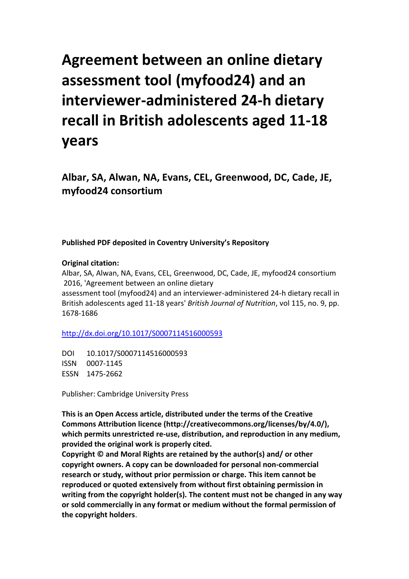# **Agreement between an online dietary assessment tool (myfood24) and an interviewer-administered 24-h dietary recall in British adolescents aged 11-18 years**

**Albar, SA, Alwan, NA, Evans, CEL, Greenwood, DC, Cade, JE, myfood24 consortium**

## **Published PDF deposited in Coventry University's Repository**

### **Original citation:**

Albar, SA, Alwan, NA, Evans, CEL, Greenwood, DC, Cade, JE, myfood24 consortium 2016, 'Agreement between an online dietary assessment tool (myfood24) and an interviewer-administered 24-h dietary recall in British adolescents aged 11-18 years' *British Journal of Nutrition*, vol 115, no. 9, pp. 1678-1686

[http://dx.doi.org/1](http://www.inbar.int/sites/default/files/Design%20Guide%20for%20Engineered%20Bahareque%20Housing_0.pdf)0.1017/S0007114516000593

DOI 10.1017/S0007114516000593 ISSN 0007-1145 ESSN 1475-2662

Publisher: Cambridge University Press

**This is an Open Access article, distributed under the terms of the Creative Commons Attribution licence (http://creativecommons.org/licenses/by/4.0/), which permits unrestricted re-use, distribution, and reproduction in any medium, provided the original work is properly cited.** 

**Copyright © and Moral Rights are retained by the author(s) and/ or other copyright owners. A copy can be downloaded for personal non-commercial research or study, without prior permission or charge. This item cannot be reproduced or quoted extensively from without first obtaining permission in writing from the copyright holder(s). The content must not be changed in any way or sold commercially in any format or medium without the formal permission of the copyright holders**.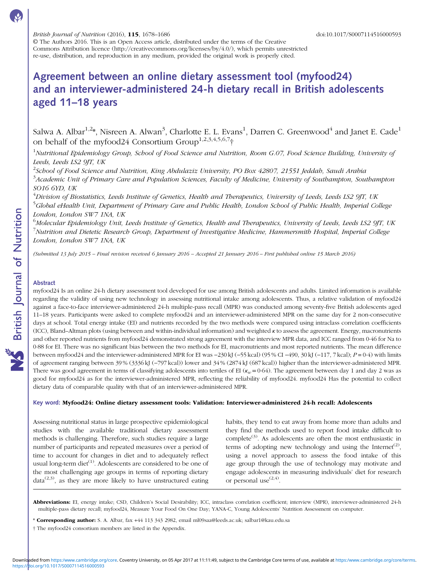© The Authors 2016. This is an Open Access article, distributed under the terms of the Creative Commons Attribution licence (http://creativecommons.org/licenses/by/4.0/), which permits unrestricted re-use, distribution, and reproduction in any medium, provided the original work is properly cited.

# Agreement between an online dietary assessment tool (myfood24) and an interviewer-administered 24-h dietary recall in British adolescents aged 11–18 years

Salwa A. Albar $^{1,2}$ \*, Nisreen A. Alwan $^3$ , Charlotte E. L. Evans $^1$ , Darren C. Greenwood $^4$  and Janet E. Cade $^1$ on behalf of the myfood24 Consortium Group<sup>1,2,3,4,5,6,7</sup>†

<sup>1</sup>Nutritional Epidemiology Group, School of Food Science and Nutrition, Room G.07, Food Science Building, University of Leeds, Leeds LS2 9JT, UK

 $^2$ School of Food Science and Nutrition, King Abdulaziz University, PO Box 42807, 21551 Jeddah, Saudi Arabia  $^3$ Academic Unit of Primary Care and Population Sciences, Faculty of Medicine, University of Southampton, Southampton SO16 6YD, UK

 $^4$ Division of Biostatistics, Leeds Institute of Genetics, Health and Therapeutics, University of Leeds, Leeds LS2 9JT, UK <sup>5</sup>Global eHealth Unit, Department of Primary Care and Public Health, London School of Public Health, Imperial College London, London SW7 1NA, UK

<sup>6</sup>Molecular Epidemiology Unit, Leeds Institute of Genetics, Health and Therapeutics, University of Leeds, Leeds LS2 9JT, UK  $^7$ Nutrition and Dietetic Research Group, Department of Investigative Medicine, Hammersmith Hospital, Imperial College London, London SW7 1NA, UK

(Submitted 13 July 2015 – Final revision received 6 January 2016 – Accepted 21 January 2016 – First published online 15 March 2016)

### Abstract

myfood24 Is an online 24-h dietary assessment tool developed for use among British adolescents and adults. Limited information is available regarding the validity of using new technology in assessing nutritional intake among adolescents. Thus, a relative validation of myfood24 against a face-to-face interviewer-administered 24-h multiple-pass recall (MPR) was conducted among seventy-five British adolescents aged 11–18 years. Participants were asked to complete myfood24 and an interviewer-administered MPR on the same day for 2 non-consecutive days at school. Total energy intake (EI) and nutrients recorded by the two methods were compared using intraclass correlation coefficients (ICC), Bland–Altman plots (using between and within-individual information) and weighted κ to assess the agreement. Energy, macronutrients and other reported nutrients from myfood24 demonstrated strong agreement with the interview MPR data, and ICC ranged from 0·46 for Na to 0·88 for EI. There was no significant bias between the two methods for EI, macronutrients and most reported nutrients. The mean difference between myfood24 and the interviewer-administered MPR for EI was −230 kJ (−55 kcal) (95 % CI −490, 30 kJ (−117, 7 kcal); P =0·4) with limits of agreement ranging between 39 % (3336 kJ (−797 kcal)) lower and 34 % (2874 kJ (687 kcal)) higher than the interviewer-administered MPR. There was good agreement in terms of classifying adolescents into tertiles of EI ( $\kappa_w$  = 0.64). The agreement between day 1 and day 2 was as good for myfood24 as for the interviewer-administered MPR, reflecting the reliability of myfood24. myfood24 Has the potential to collect dietary data of comparable quality with that of an interviewer-administered MPR.

### Key word: Myfood24: Online dietary assessment tools: Validation: Interviewer-administered 24-h recall: Adolescents

Assessing nutritional status in large prospective epidemiological studies with the available traditional dietary assessment methods is challenging. Therefore, such studies require a large number of participants and repeated measures over a period of time to account for changes in diet and to adequately reflect usual long-term diet<sup>[\(1\)](#page-8-0)</sup>. Adolescents are considered to be one of the most challenging age groups in terms of reporting dietary  $data^{(2,3)}$  $data^{(2,3)}$  $data^{(2,3)}$  $data^{(2,3)}$  $data^{(2,3)}$ , as they are more likely to have unstructured eating

habits, they tend to eat away from home more than adults and they find the methods used to report food intake difficult to complete<sup> $(3)$  $(3)$  $(3)$ </sup>. As adolescents are often the most enthusiastic in terms of adopting new technology and using the Internet<sup>[\(2\)](#page-8-0)</sup>, using a novel approach to assess the food intake of this age group through the use of technology may motivate and engage adolescents in measuring individuals' diet for research or personal use  $(2,4)$ .

Abbreviations: EI, energy intake; CSD, Children's Social Desirability; ICC, intraclass correlation coefficient; interview (MPR), interviewer-administered 24-h multiple-pass dietary recall; myfood24, Measure Your Food On One Day; YANA-C, Young Adolescents' Nutrition Assessment on computer.

- \* Corresponding author: S. A. Albar, fax +44 113 343 2982, email ml09saa@leeds.ac.uk; salbar1@kau.edu.sa
- † The myfood24 consortium members are listed in the Appendix.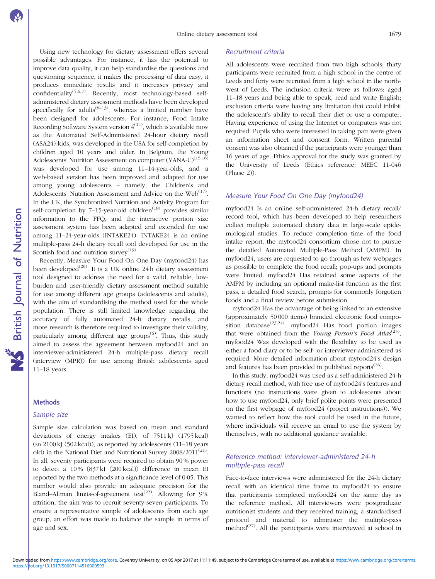Using new technology for dietary assessment offers several possible advantages. For instance, it has the potential to improve data quality, it can help standardise the questions and questioning sequence, it makes the processing of data easy, it produces immediate results and it increases privacy and confidentiality<sup>[\(5,6,7\)](#page-8-0)</sup>. Recently, most technology-based selfadministered dietary assessment methods have been developed specifically for adults<sup> $(8-13)$  $(8-13)$  $(8-13)$  $(8-13)$  $(8-13)$ </sup>, whereas a limited number have been designed for adolescents. For instance, Food Intake Recording Software System version  $4^{(14)}$  $4^{(14)}$  $4^{(14)}$ , which is available now as the Automated Self-Administered 24-hour dietary recall (ASA24)-kids, was developed in the USA for self-completion by children aged 10 years and older. In Belgium, the Young Adolescents' Nutrition Assessment on computer  $(YANA-C)^{(15,16)}$  $(YANA-C)^{(15,16)}$  $(YANA-C)^{(15,16)}$ was developed for use among 11–14-year-olds, and a web-based version has been improved and adapted for use among young adolescents – namely, the Children's and Adolescents' Nutrition Assessment and Advice on the  $Web^{(17)}$  $Web^{(17)}$  $Web^{(17)}$ . In the UK, the Synchronized Nutrition and Activity Program for self-completion by  $7-15$ -year-old children<sup> $(18)$  $(18)$  $(18)$ </sup> provides similar information to the FFQ, and the interactive portion size assessment system has been adapted and extended for use among 11–24-year-olds (INTAKE24). INTAKE24 is an online multiple-pass 24-h dietary recall tool developed for use in the Scottish food and nutrition survey<sup>[\(19](#page-9-0))</sup>.

Recently, Measure Your Food On One Day (myfood24) has been developed<sup>[\(20](#page-9-0))</sup>. It is a UK online 24 h dietary assessment tool designed to address the need for a valid, reliable, lowburden and user-friendly dietary assessment method suitable for use among different age groups (adolescents and adults), with the aim of standardising the method used for the whole population. There is still limited knowledge regarding the accuracy of fully automated 24-h dietary recalls, and more research is therefore required to investigate their validity, particularly among different age groups<sup> $(6)$  $(6)$  $(6)$ </sup>. Thus, this study aimed to assess the agreement between myfood24 and an interviewer-administered 24-h multiple-pass dietary recall (interview (MPR)) for use among British adolescents aged 11–18 years.

### **Methods**

### Sample size

Sample size calculation was based on mean and standard deviations of energy intakes (EI), of 7511 kJ (1795 kcal) (SD 2100 kJ (502 kcal)), as reported by adolescents (11–18 years old) in the National Diet and Nutritional Survey 2008/2011<sup>[\(21\)](#page-9-0)</sup>. In all, seventy participants were required to obtain 90 % power to detect a 10 % (837 kJ (200 kcal)) difference in mean EI reported by the two methods at a significance level of 0·05. This number would also provide an adequate precision for the Bland–Altman limits-of-agreement test<sup>[\(22\)](#page-9-0)</sup>. Allowing for 9% attrition, the aim was to recruit seventy-seven participants. To ensure a representative sample of adolescents from each age group, an effort was made to balance the sample in terms of age and sex.

### Recruitment criteria

All adolescents were recruited from two high schools; thirty participants were recruited from a high school in the centre of Leeds and forty were recruited from a high school in the northwest of Leeds. The inclusion criteria were as follows: aged 11–18 years and being able to speak, read and write English; exclusion criteria were having any limitation that could inhibit the adolescent's ability to recall their diet or use a computer. Having experience of using the Internet or computers was not required. Pupils who were interested in taking part were given an information sheet and consent form. Written parental consent was also obtained if the participants were younger than 16 years of age. Ethics approval for the study was granted by the University of Leeds (Ethics reference: MEEC 11-046 (Phase 2)).

### Measure Your Food On One Day (myfood24)

myfood24 Is an online self-administered 24-h dietary recall/ record tool, which has been developed to help researchers collect multiple automated dietary data in large-scale epidemiological studies. To reduce completion time of the food intake report, the myfood24 consortium chose not to pursue the detailed Automated Multiple-Pass Method (AMPM). In myfood24, users are requested to go through as few webpages as possible to complete the food recall; pop-ups and prompts were limited. myfood24 Has retained some aspects of the AMPM by including an optional make-list function as the first pass, a detailed food search, prompts for commonly forgotten foods and a final review before submission.

myfood24 Has the advantage of being linked to an extensive (approximately 50 000 items) branded electronic food compo-sition database<sup>[\(23,24](#page-9-0))</sup>. myfood24 Has food portion images that were obtained from the Young Person's Food Atlas<sup>[\(25\)](#page-9-0)</sup>. myfood24 Was developed with the flexibility to be used as either a food diary or to be self- or interviewer-administered as required. More detailed information about myfood24's design and features has been provided in published reports<sup> $(26)$  $(26)$  $(26)$ </sup>.

In this study, myfood24 was used as a self-administered 24-h dietary recall method, with free use of myfood24's features and functions (no instructions were given to adolescents about how to use myfood24, only brief polite points were presented on the first webpage of myfood24 (project instructions)). We wanted to reflect how the tool could be used in the future, where individuals will receive an email to use the system by themselves, with no additional guidance available.

### Reference method: interviewer-administered 24-h multiple-pass recall

Face-to-face interviews were administered for the 24-h dietary recall with an identical time frame to myfood24 to ensure that participants completed myfood24 on the same day as the reference method. All interviewers were postgraduate nutritionist students and they received training, a standardised protocol and material to administer the multiple-pass method $^{(27)}$  $^{(27)}$  $^{(27)}$ . All the participants were interviewed at school in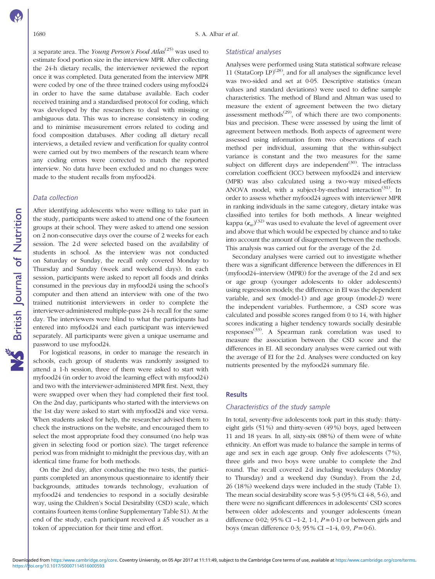a separate area. The *Young Person's Food Atlas<sup>[\(25](#page-9-0))</sup>* was used to estimate food portion size in the interview MPR. After collecting the 24-h dietary recalls, the interviewer reviewed the report once it was completed. Data generated from the interview MPR were coded by one of the three trained coders using myfood24 in order to have the same database available. Each coder received training and a standardised protocol for coding, which was developed by the researchers to deal with missing or ambiguous data. This was to increase consistency in coding and to minimise measurement errors related to coding and food composition databases. After coding all dietary recall interviews, a detailed review and verification for quality control were carried out by two members of the research team where any coding errors were corrected to match the reported interview. No data have been excluded and no changes were made to the student recalls from myfood24.

### Data collection

After identifying adolescents who were willing to take part in the study, participants were asked to attend one of the fourteen groups at their school. They were asked to attend one session on 2 non-consecutive days over the course of 2 weeks for each session. The 2d were selected based on the availability of students in school. As the interview was not conducted on Saturday or Sunday, the recall only covered Monday to Thursday and Sunday (week and weekend days). In each session, participants were asked to report all foods and drinks consumed in the previous day in myfood24 using the school's computer and then attend an interview with one of the two trained nutritionist interviewers in order to complete the interviewer-administered multiple-pass 24-h recall for the same day. The interviewers were blind to what the participants had entered into myfood24 and each participant was interviewed separately. All participants were given a unique username and password to use myfood24.

For logistical reasons, in order to manage the research in schools, each group of students was randomly assigned to attend a 1-h session, three of them were asked to start with myfood24 (in order to avoid the learning effect with myfood24) and two with the interviewer-administered MPR first. Next, they were swapped over when they had completed their first tool. On the 2nd day, participants who started with the interviews on the 1st day were asked to start with myfood24 and vice versa. When students asked for help, the researcher advised them to check the instructions on the website, and encouraged them to select the most appropriate food they consumed (no help was given in selecting food or portion size). The target reference period was from midnight to midnight the previous day, with an identical time frame for both methods.

On the 2nd day, after conducting the two tests, the participants completed an anonymous questionnaire to identify their backgrounds, attitudes towards technology, evaluation of myfood24 and tendencies to respond in a socially desirable way, using the Children's Social Desirability (CSD) scale, which contains fourteen items (online Supplementary Table S1). At the end of the study, each participant received a £5 voucher as a token of appreciation for their time and effort.

### Statistical analyses

Analyses were performed using Stata statistical software release 11 (StataCorp LP)<sup> $(28)$  $(28)$ </sup>, and for all analyses the significance level was two-sided and set at 0·05. Descriptive statistics (mean values and standard deviations) were used to define sample characteristics. The method of Bland and Altman was used to measure the extent of agreement between the two dietary assessment methods $^{(29)}$  $^{(29)}$  $^{(29)}$ , of which there are two components: bias and precision. These were assessed by using the limit of agreement between methods. Both aspects of agreement were assessed using information from two observations of each method per individual, assuming that the within-subject variance is constant and the two measures for the same subject on different days are independent $(30)$  $(30)$  $(30)$ . The intraclass correlation coefficient (ICC) between myfood24 and interview (MPR) was also calculated using a two-way mixed-effects ANOVA model, with a subject-by-method interaction<sup>[\(31\)](#page-9-0)</sup>. In order to assess whether myfood24 agrees with interviewer MPR in ranking individuals in the same category, dietary intake was classified into tertiles for both methods. A linear weighted kappa  $(\kappa_w)^{(32)}$  $(\kappa_w)^{(32)}$  $(\kappa_w)^{(32)}$  was used to evaluate the level of agreement over and above that which would be expected by chance and to take into account the amount of disagreement between the methods. This analysis was carried out for the average of the 2 d.

Secondary analyses were carried out to investigate whether there was a significant difference between the differences in EI (myfood24–interview (MPR)) for the average of the 2 d and sex or age group (younger adolescents to older adolescents) using regression models; the difference in EI was the dependent variable, and sex (model-1) and age group (model-2) were the independent variables. Furthermore, a CSD score was calculated and possible scores ranged from 0 to 14, with higher scores indicating a higher tendency towards socially desirable  $responses$ <sup>[\(33](#page-9-0))</sup>. A Spearman rank correlation was used to measure the association between the CSD score and the differences in EI. All secondary analyses were carried out with the average of EI for the 2 d. Analyses were conducted on key nutrients presented by the myfood24 summary file.

### **Results**

### Characteristics of the study sample

In total, seventy-five adolescents took part in this study: thirtyeight girls (51 %) and thirty-seven (49 %) boys, aged between 11 and 18 years. In all, sixty-six (88 %) of them were of white ethnicity. An effort was made to balance the sample in terms of age and sex in each age group. Only five adolescents (7 %), three girls and two boys were unable to complete the 2nd round. The recall covered 2 d including weekdays (Monday to Thursday) and a weekend day (Sunday). From the 2 d, 26 (18 %) weekend days were included in the study (Table [1](#page-4-0)). The mean social desirability score was 5·3 (95 % CI 4·8, 5·6), and there were no significant differences in adolescents' CSD scores between older adolescents and younger adolescents (mean difference 0·02; 95 % CI −1·2, 1·1,  $P = 0.1$ ) or between girls and boys (mean difference 0·3; 95 % CI −1·4, 0·9, P= 0·6).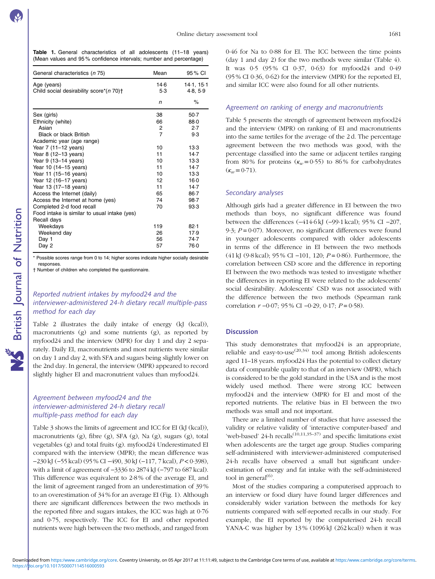<span id="page-4-0"></span>

|  | Table 1. General characteristics of all adolescents (11-18 years) |  |  |  |
|--|-------------------------------------------------------------------|--|--|--|
|  | (Mean values and 95% confidence intervals; number and percentage) |  |  |  |

| General characteristics (n 75)                              | Mean           | 95 % CI                |
|-------------------------------------------------------------|----------------|------------------------|
| Age (years)<br>Child social desirability score*(n 70)+      | 14 6<br>5.3    | 14.1, 15.1<br>4.8, 5.9 |
|                                                             | n              | $\%$                   |
| Sex (girls)                                                 | 38             | $50-7$                 |
| Ethnicity (white)                                           | 66             | 88.0                   |
| Asian                                                       | 2              | 2.7                    |
| <b>Black or black British</b>                               | $\overline{7}$ | 9.3                    |
| Academic year (age range)                                   |                |                        |
| Year 7 (11-12 years)                                        | 10             | $13-3$                 |
| Year 8 (12-13 years)                                        | 11             | 14.7                   |
| Year 9 (13-14 years)                                        | 10             | 13.3                   |
| Year 10 (14-15 years)                                       | 11             | 14.7                   |
| Year 11 (15-16 years)                                       | 10             | 13.3                   |
| Year 12 (16-17 years)                                       | 12             | 16.0                   |
| Year 13 (17-18 years)                                       | 11             | 14.7                   |
| Access the Internet (daily)                                 | 65             | 86.7                   |
| Access the Internet at home (yes)                           | 74             | $98 - 7$               |
| Completed 2-d food recall                                   | 70             | 93.3                   |
| Food intake is similar to usual intake (yes)<br>Recall days |                |                        |
| Weekdays                                                    | 119            | 82.1                   |
| Weekend day                                                 | 26             | 17.9                   |
| Day 1                                                       | 56             | 74.7                   |
| Day 2                                                       | 57             | 76.0                   |
|                                                             |                |                        |

Possible scores range from 0 to 14; higher scores indicate higher socially desirable responses

† Number of children who completed the questionnaire.

### Reported nutrient intakes by myfood24 and the interviewer-administered 24-h dietary recall multiple-pass method for each day

[Table 2](#page-5-0) illustrates the daily intake of energy (kJ (kcal)), macronutrients (g) and some nutrients (g), as reported by myfood24 and the interview (MPR) for day 1 and day 2 separately. Daily EI, macronutrients and most nutrients were similar on day 1 and day 2, with SFA and sugars being slightly lower on the 2nd day. In general, the interview (MPR) appeared to record slightly higher EI and macronutrient values than myfood24.

### Agreement between myfood24 and the interviewer-administered 24-h dietary recall multiple-pass method for each day

[Table 3](#page-5-0) shows the limits of agreement and ICC for EI (kJ (kcal)), macronutrients (g), fibre (g), SFA (g), Na (g), sugars (g), total vegetables (g) and total fruits (g). myfood24 Underestimated EI compared with the interview (MPR); the mean difference was −230 kJ (−55 kcal) (95 % CI −490, 30 kJ (−117, 7 kcal), P<0·398), with a limit of agreement of −3336 to 2874 kJ (−797 to 687 kcal). This difference was equivalent to 2·8 % of the average EI, and the limit of agreement ranged from an underestimation of 39 % to an overestimation of 34 % for an average EI ([Fig. 1](#page-6-0)). Although there are significant differences between the two methods in the reported fibre and sugars intakes, the ICC was high at 0·76 and 0·75, respectively. The ICC for EI and other reported nutrients were high between the two methods, and ranged from

0·46 for Na to 0·88 for EI. The ICC between the time points (day 1 and day 2) for the two methods were similar [\(Table 4](#page-7-0)). It was 0.5 (95% CI 0.37, 0.63) for myfood24 and 0.49 (95 % CI 0·36, 0·62) for the interview (MPR) for the reported EI, and similar ICC were also found for all other nutrients.

### Agreement on ranking of energy and macronutrients

[Table 5](#page-7-0) presents the strength of agreement between myfood24 and the interview (MPR) on ranking of EI and macronutrients into the same tertiles for the average of the 2 d. The percentage agreement between the two methods was good, with the percentage classified into the same or adjacent tertiles ranging from 80% for proteins  $(\kappa_w = 0.55)$  to 86% for carbohydrates  $(\kappa_w = 0.71).$ 

### Secondary analyses

Although girls had a greater difference in EI between the two methods than boys, no significant difference was found between the differences (−414·6 kJ (−99·1 kcal); 95 % CI −207, 9.3;  $P = 0.07$ ). Moreover, no significant differences were found in younger adolescents compared with older adolescents in terms of the difference in EI between the two methods (41 kJ (9·8 kcal); 95 % CI -101, 120;  $P = 0.86$ ). Furthermore, the correlation between CSD score and the difference in reporting EI between the two methods was tested to investigate whether the differences in reporting EI were related to the adolescents' social desirability. Adolescents' CSD was not associated with the difference between the two methods (Spearman rank correlation  $r -0.07$ ; 95 % CI  $-0.29$ , 0.17;  $P = 0.58$ ).

### **Discussion**

This study demonstrates that myfood24 is an appropriate, reliable and easy-to-use<sup> $(20,34)$  $(20,34)$  $(20,34)$ </sup> tool among British adolescents aged 11–18 years. myfood24 Has the potential to collect dietary data of comparable quality to that of an interview (MPR), which is considered to be the gold standard in the USA and is the most widely used method. There were strong ICC between myfood24 and the interview (MPR) for EI and most of the reported nutrients. The relative bias in EI between the two methods was small and not important.

There are a limited number of studies that have assessed the validity or relative validity of 'interactive computer-based' and 'web-based' 24-h recalls<sup> $(10,11,35-37)$  $(10,11,35-37)$  $(10,11,35-37)$  $(10,11,35-37)$ </sup> and specific limitations exist when adolescents are the target age group. Studies comparing self-administered with interviewer-administered computerised 24-h recalls have observed a small but significant underestimation of energy and fat intake with the self-administered tool in general $^{(6)}$  $^{(6)}$  $^{(6)}$ .

Most of the studies comparing a computerised approach to an interview or food diary have found larger differences and considerably wider variation between the methods for key nutrients compared with self-reported recalls in our study. For example, the EI reported by the computerised 24-h recall YANA-C was higher by 13% (1096 kJ (262 kcal)) when it was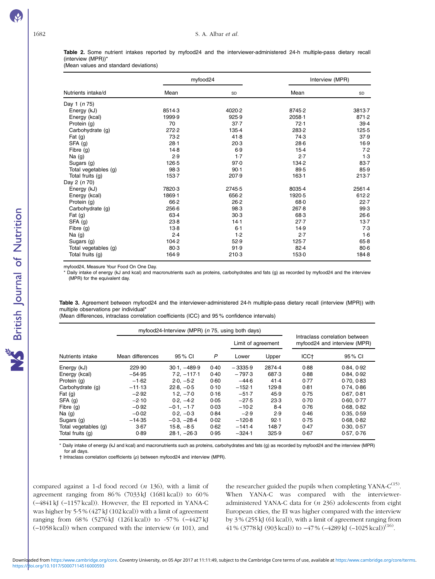<span id="page-5-0"></span>Table 2. Some nutrient intakes reported by myfood24 and the interviewer-administered 24-h multiple-pass dietary recall (interview (MPR))\*

(Mean values and standard deviations)

|                      |           | myfood24 | Interview (MPR) |        |  |
|----------------------|-----------|----------|-----------------|--------|--|
| Nutrients intake/d   | Mean      | SD       | Mean            | SD     |  |
| Day 1 (n 75)         |           |          |                 |        |  |
| Energy (kJ)          | 8514.3    | 4020-2   | 8745-2          | 38137  |  |
| Energy (kcal)        | 1999.9    | 925.9    | $2058 - 1$      | 871.2  |  |
| Protein (g)          | 70        | 37.7     | 72.1            | 39.4   |  |
| Carbohydrate (g)     | 272.2     | $135-4$  | 283-2           | 125.5  |  |
| Fat $(g)$            | 73.2      | 41.8     | 74.3            | 37.9   |  |
| SFA (g)              | $28 - 1$  | 20.3     | 28.6            | 16.9   |  |
| Fibre (g)            | 14.8      | 6.9      | $15-4$          | 7.2    |  |
| Na $(g)$             | 2.9       | $1-7$    | 2.7             | 1.3    |  |
| Sugars (g)           | 126-5     | 97.0     | 134.2           | 83.7   |  |
| Total vegetables (g) | 98.3      | 90.1     | 89.5            | 85.9   |  |
| Total fruits (g)     | $153 - 7$ | 207.9    | $163-1$         | 213.7  |  |
| Day 2 (n 70)         |           |          |                 |        |  |
| Energy (kJ)          | 7820-3    | 2745.5   | 8035.4          | 2561-4 |  |
| Energy (kcal)        | 1869-1    | 656.2    | 1920-5          | 612.2  |  |
| Protein (g)          | 66.2      | 26.2     | 68.0            | 22.7   |  |
| Carbohydrate (g)     | 256.6     | 98.3     | 267.8           | 99.3   |  |
| Fat $(g)$            | 63.4      | 30.3     | 68.3            | 26.6   |  |
| SFA(g)               | 23.8      | 14.1     | 27.7            | 13.7   |  |
| Fibre (g)            | $13-8$    | $6 - 1$  | 14.9            | 7.3    |  |
| Na $(g)$             | 2.4       | 1.2      | 2.7             | 1.6    |  |
| Sugars (g)           | 104.2     | 52.9     | $125 - 7$       | $65-8$ |  |
| Total vegetables (g) | 80.3      | 91.9     | $82 - 4$        | 80.6   |  |
| Total fruits (g)     | 164.9     | 210-3    | 1530            | 184.8  |  |

myfood24, Measure Your Food On One Day.

\* Daily intake of energy (kJ and kcal) and macronutrients such as proteins, carbohydrates and fats (g) as recorded by myfood24 and the interview (MPR) for the equivalent day.

Table 3. Agreement between myfood24 and the interviewer-administered 24-h multiple-pass dietary recall (interview (MPR)) with multiple observations per individual\*

(Mean differences, intraclass correlation coefficients (ICC) and 95 % confidence intervals)

|                      | myfood24-Interview (MPR) (n 75, using both days) |                |      |                    |        |                                                                |            |
|----------------------|--------------------------------------------------|----------------|------|--------------------|--------|----------------------------------------------------------------|------------|
|                      |                                                  |                |      | Limit of agreement |        | Intraclass correlation between<br>myfood24 and interview (MPR) |            |
| Nutrients intake     | Mean differences                                 | 95 % CI        | P    | Lower              | Upper  | ICC <sub>t</sub>                                               | 95 % CI    |
| Energy (kJ)          | 229.90                                           | $30.1. -489.9$ | 0.40 | $-3335.9$          | 2874.4 | 0.88                                                           | 0.84.0.92  |
| Energy (kcal)        | $-54.95$                                         | $7.2. -117.1$  | 0.40 | $-797.3$           | 687.3  | 0.88                                                           | 0.84.0.92  |
| Protein (g)          | $-1.62$                                          | $2.0 - 5.2$    | 0.60 | $-44.6$            | 41.4   | 0.77                                                           | 0.70.0.83  |
| Carbohydrate (g)     | $-11.13$                                         | $22.8. -0.5$   | 0.10 | $-152.1$           | 129.8  | 0.81                                                           | 0.74, 0.86 |
| Fat $(q)$            | $-2.92$                                          | $1.2. -7.0$    | 0.16 | $-51.7$            | 45.9   | 0.75                                                           | 0.67, 0.81 |
| SFA(g)               | $-2.10$                                          | $0.2, -4.2$    | 0.05 | $-27.5$            | 23.3   | 0.70                                                           | 0.60, 0.77 |
| Fibre $(q)$          | $-0.92$                                          | $-0.1 - 1.7$   | 0.03 | $-10.2$            | $8-4$  | 0.76                                                           | 0.68, 0.82 |
| Na $(q)$             | $-0.02$                                          | $0.2, -0.3$    | 0.84 | $-2.9$             | 2.9    | 0.46                                                           | 0.35, 0.59 |
| Sugars (g)           | $-14.35$                                         | $-0.3, -28.4$  | 0.02 | $-120.8$           | 92.1   | 0.75                                                           | 0.68, 0.82 |
| Total vegetables (g) | 3.67                                             | $15.8, -8.5$   | 0.62 | $-141.4$           | 148.7  | 0.47                                                           | 0.30.0.57  |
| Total fruits (g)     | 0.89                                             | $28.1, -26.3$  | 0.95 | $-324.1$           | 325.9  | 0.67                                                           | 0.57, 0.76 |

\* Daily intake of energy (kJ and kcal) and macronutrients such as proteins, carbohydrates and fats (g) as recorded by myfood24 and the interview (MPR) for all days.

† Intraclass correlation coefficients (ρ) between myfood24 and interview (MPR).

compared against a 1-d food record  $(n 136)$ , with a limit of agreement ranging from 86 % (7033 kJ (1681 kcal)) to 60 % (−4841 kJ (−1157 kcal)). However, the EI reported in YANA-C was higher by 5·5 % (427 kJ (102 kcal)) with a limit of agreement ranging from 68 % (5276 kJ (1261 kcal)) to -57 % (−4427 kJ  $(-1058 \text{ kcal})$  when compared with the interview  $(n 101)$ , and

the researcher guided the pupils when completing YANA- $C^{(15)}$  $C^{(15)}$  $C^{(15)}$ . When YANA-C was compared with the intervieweradministered YANA-C data for (n 236) adolescents from eight European cities, the EI was higher compared with the interview by 3 % (255 kJ (61 kcal)), with a limit of agreement ranging from 41 % (3778 kJ (903 kcal)) to  $-47$  % ( $-4289$  kJ ( $-1025$  kcal))<sup>([16\)](#page-8-0)</sup>.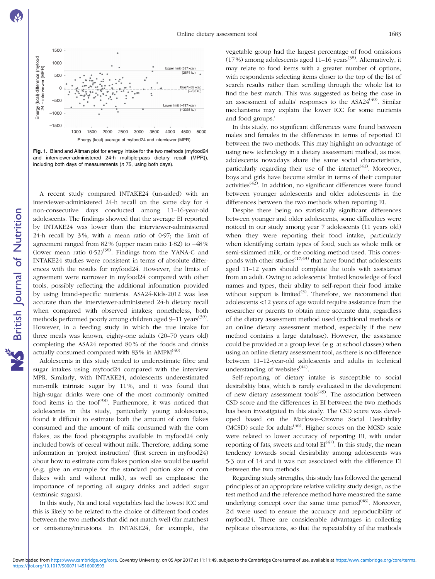<span id="page-6-0"></span>

Fig. 1. Bland and Altman plot for energy intake for the two methods (myfood24 and interviewer-administered 24-h multiple-pass dietary recall (MPR)), including both days of measurements ( $n$  75, using both days).

A recent study compared INTAKE24 (un-aided) with an interviewer-administered 24-h recall on the same day for 4 non-consecutive days conducted among 11–16-year-old adolescents. The findings showed that the average EI reported by INTAKE24 was lower than the interviewer-administered 24-h recall by 3 %, with a mean ratio of 0·97; the limit of agreement ranged from 82 % (upper mean ratio 1·82) to −48 % (lower mean ratio  $0.52$ )<sup>[\(38\)](#page-9-0)</sup>. Findings from the YANA-C and INTAKE24 studies were consistent in terms of absolute differences with the results for myfood24. However, the limits of agreement were narrower in myfood24 compared with other tools, possibly reflecting the additional information provided by using brand-specific nutrients. ASA24-Kids-2012 was less accurate than the interviewer-administered 24-h dietary recall when compared with observed intakes; nonetheless, both methods performed poorly among children aged 9–11 years<sup>[\(39\)](#page-9-0)</sup>. However, in a feeding study in which the true intake for three meals was known, eighty-one adults (20–70 years old) completing the ASA24 reported 80 % of the foods and drinks actually consumed compared with  $83\%$  in AMPM<sup>([40\)](#page-9-0)</sup>.

Adolescents in this study tended to underestimate fibre and sugar intakes using myfood24 compared with the interview MPR. Similarly, with INTAKE24, adolescents underestimated non-milk intrinsic sugar by 11 %, and it was found that high-sugar drinks were one of the most commonly omitted food items in the tool<sup>([38](#page-9-0))</sup>. Furthermore, it was noticed that adolescents in this study, particularly young adolescents, found it difficult to estimate both the amount of corn flakes consumed and the amount of milk consumed with the corn flakes, as the food photographs available in myfood24 only included bowls of cereal without milk. Therefore, adding some information in 'project instruction' (first screen in myfood24) about how to estimate corn flakes portion size would be useful (e.g. give an example for the standard portion size of corn flakes with and without milk), as well as emphasise the importance of reporting all sugary drinks and added sugar (extrinsic sugars).

In this study, Na and total vegetables had the lowest ICC and this is likely to be related to the choice of different food codes between the two methods that did not match well (far matches) or omissions/intrusions. In INTAKE24, for example, the

vegetable group had the largest percentage of food omissions  $(17%)$  among adolescents aged  $11-16$  years<sup>([38](#page-9-0))</sup>. Alternatively, it may relate to food items with a greater number of options, with respondents selecting items closer to the top of the list of search results rather than scrolling through the whole list to find the best match. This was suggested as being the case in an assessment of adults' responses to the ASA24<sup>([40\)](#page-9-0)</sup>. Similar mechanisms may explain the lower ICC for some nutrients and food groups.'

In this study, no significant differences were found between males and females in the differences in terms of reported EI between the two methods. This may highlight an advantage of using new technology in a dietary assessment method, as most adolescents nowadays share the same social characteristics, particularly regarding their use of the internet<sup> $(41)$  $(41)$ </sup>. Moreover, boys and girls have become similar in terms of their computer activities<sup> $(42)$ </sup>. In addition, no significant differences were found between younger adolescents and older adolescents in the differences between the two methods when reporting EI.

Despite there being no statistically significant differences between younger and older adolescents, some difficulties were noticed in our study among year 7 adolescents (11 years old) when they were reporting their food intake, particularly when identifying certain types of food, such as whole milk or semi-skimmed milk, or the cooking method used. This corresponds with other studies<sup> $(17,43)$  $(17,43)$  $(17,43)$ </sup> that have found that adolescents aged 11–12 years should complete the tools with assistance from an adult. Owing to adolescents' limited knowledge of food names and types, their ability to self-report their food intake without support is limited $^{(3)}$  $^{(3)}$  $^{(3)}$ . Therefore, we recommend that adolescents <12 years of age would require assistance from the researcher or parents to obtain more accurate data, regardless of the dietary assessment method used (traditional methods or an online dietary assessment method, especially if the new method contains a large database). However, the assistance could be provided at a group level (e.g. at school classes) when using an online dietary assessment tool, as there is no difference between 11–12-year-old adolescents and adults in technical understanding of websites $(44)$ .

Self-reporting of dietary intake is susceptible to social desirability bias, which is rarely evaluated in the development of new dietary assessment tools<sup> $(45)$  $(45)$ </sup>. The association between CSD score and the differences in EI between the two methods has been investigated in this study. The CSD score was developed based on the Marlowe–Crowne Social Desirability  $(MCSD)$  scale for adults<sup>([46](#page-9-0))</sup>. Higher scores on the MCSD scale were related to lower accuracy of reporting EI, with under reporting of fats, sweets and total  $EI^{(47)}$  $EI^{(47)}$  $EI^{(47)}$ . In this study, the mean tendency towards social desirability among adolescents was 5·3 out of 14 and it was not associated with the difference EI between the two methods.

Regarding study strengths, this study has followed the general principles of an appropriate relative validity study design, as the test method and the reference method have measured the same underlying concept over the same time period<sup>([48](#page-9-0))</sup>. Moreover, 2 d were used to ensure the accuracy and reproducibility of myfood24. There are considerable advantages in collecting replicate observations, so that the repeatability of the methods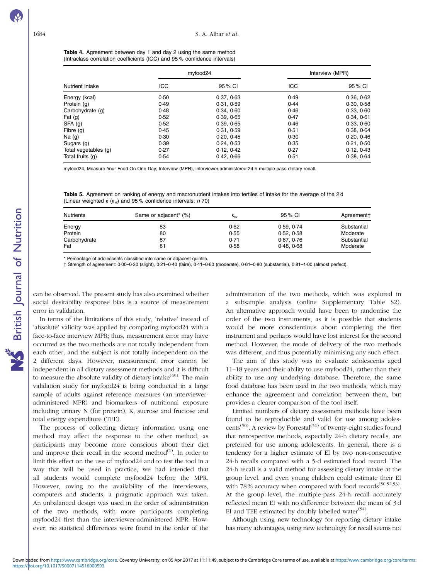<span id="page-7-0"></span>Table 4. Agreement between day 1 and day 2 using the same method (Intraclass correlation coefficients (ICC) and 95 % confidence intervals)

|                      |      | myfood24   |            | Interview (MPR) |  |
|----------------------|------|------------|------------|-----------------|--|
| Nutrient intake      | ICC  | 95 % CI    | <b>ICC</b> | 95 % CI         |  |
| Energy (kcal)        | 0.50 | 0.37, 0.63 | 0.49       | 0.36, 0.62      |  |
| Protein (g)          | 0.49 | 0.31, 0.59 | 0.44       | 0.30, 0.58      |  |
| Carbohydrate (g)     | 0.48 | 0.34, 0.60 | 0.46       | 0.33, 0.60      |  |
| Fat $(q)$            | 0.52 | 0.39, 0.65 | 0.47       | 0.34, 0.61      |  |
| SFA (g)              | 0.52 | 0.39, 0.65 | 0.46       | 0.33, 0.60      |  |
| Fibre (g)            | 0.45 | 0.31, 0.59 | 0.51       | 0.38, 0.64      |  |
| Na(g)                | 0.30 | 0.20, 0.45 | 0.30       | 0.20, 0.46      |  |
| Sugars (g)           | 0.39 | 0.24, 0.53 | 0.35       | 0.21, 0.50      |  |
| Total vegetables (g) | 0.27 | 0.12, 0.42 | 0.27       | 0.12, 0.43      |  |
| Total fruits (g)     | 0.54 | 0.42.066   | 0.51       | 0.38.064        |  |

myfood24, Measure Your Food On One Day; Interview (MPR), interviewer-administered 24-h multiple-pass dietary recall.

Table 5. Agreement on ranking of energy and macronutrient intakes into tertiles of intake for the average of the 2d (Linear weighted  $\kappa$  ( $\kappa_w$ ) and 95% confidence intervals; n 70)

| <b>Nutrients</b> | Same or adjacent <sup>*</sup> (%) | $K_{W}$ | 95 % CI    | Agreement†  |
|------------------|-----------------------------------|---------|------------|-------------|
| Energy           | 83                                | 0.62    | 0.59.0.74  | Substantial |
| Protein          | 80                                | 0.55    | 0.52.0.58  | Moderate    |
| Carbohydrate     | 87                                | 0.71    | 0.67, 0.76 | Substantial |
| Fat              | 81                                | 0.58    | 0.48.068   | Moderate    |

\* Percentage of adolescents classified into same or adjacent quintile.

† Strength of agreement: 0·00–0·20 (slight), 0·21–0·40 (faire), 0·41–0·60 (moderate), 0·61–0·80 (substantial), 0·81–1·00 (almost perfect).

can be observed. The present study has also examined whether social desirability response bias is a source of measurement error in validation.

In terms of the limitations of this study, 'relative' instead of 'absolute' validity was applied by comparing myfood24 with a face-to-face interview MPR; thus, measurement error may have occurred as the two methods are not totally independent from each other, and the subject is not totally independent on the 2 different days. However, measurement error cannot be independent in all dietary assessment methods and it is difficult to measure the absolute validity of dietary intake $(49)$  $(49)$ . The main validation study for myfood24 is being conducted in a large sample of adults against reference measures (an intervieweradministered MPR) and biomarkers of nutritional exposure including urinary N (for protein), K, sucrose and fructose and total energy expenditure (TEE).

The process of collecting dietary information using one method may affect the response to the other method, as participants may become more conscious about their diet and improve their recall in the second method $^{(1)}$  $^{(1)}$  $^{(1)}$ . In order to limit this effect on the use of myfood24 and to test the tool in a way that will be used in practice, we had intended that all students would complete myfood24 before the MPR. However, owing to the availability of the interviewers, computers and students, a pragmatic approach was taken. An unbalanced design was used in the order of administration of the two methods, with more participants completing myfood24 first than the interviewer-administered MPR. However, no statistical differences were found in the order of the

administration of the two methods, which was explored in a subsample analysis (online Supplementary Table S2). An alternative approach would have been to randomise the order of the two instruments, as it is possible that students would be more conscientious about completing the first instrument and perhaps would have lost interest for the second method. However, the mode of delivery of the two methods was different, and thus potentially minimising any such effect.

The aim of this study was to evaluate adolescents aged 11–18 years and their ability to use myfood24, rather than their ability to use any underlying database. Therefore, the same food database has been used in the two methods, which may enhance the agreement and correlation between them, but provides a clearer comparison of the tool itself.

Limited numbers of dietary assessment methods have been found to be reproducible and valid for use among adoles-cents<sup>[\(50\)](#page-9-0)</sup>. A review by Forrestal<sup>([51](#page-9-0))</sup> of twenty-eight studies found that retrospective methods, especially 24-h dietary recalls, are preferred for use among adolescents. In general, there is a tendency for a higher estimate of EI by two non-consecutive 24-h recalls compared with a 5-d estimated food record. The 24-h recall is a valid method for assessing dietary intake at the group level, and even young children could estimate their EI with 78% accuracy when compared with food records<sup>[\(50,52,53\)](#page-9-0)</sup>. At the group level, the multiple-pass 24-h recall accurately reflected mean EI with no difference between the mean of 3 d EI and TEE estimated by doubly labelled water $(54)$  $(54)$  $(54)$ .

Although using new technology for reporting dietary intake has many advantages, using new technology for recall seems not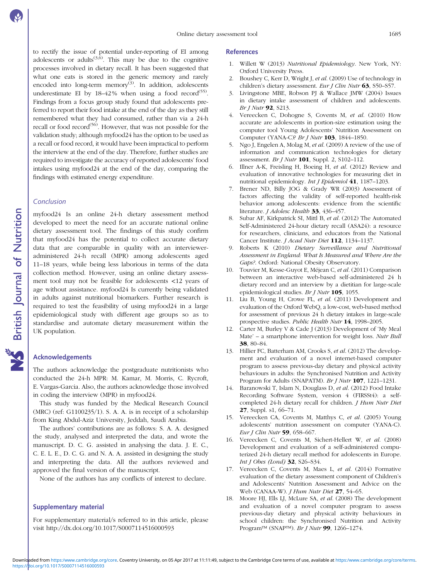<span id="page-8-0"></span>to rectify the issue of potential under-reporting of EI among adolescents or adults<sup> $(3,6)$ </sup>. This may be due to the cognitive processes involved in dietary recall. It has been suggested that what one eats is stored in the generic memory and rarely encoded into long-term memory<sup>(3)</sup>. In addition, adolescents underestimate EI by  $18-42\%$  when using a food record<sup>[\(55\)](#page-9-0)</sup>. Findings from a focus group study found that adolescents preferred to report their food intake at the end of the day as they still remembered what they had consumed, rather than via a 24-h recall or food record<sup>[\(56\)](#page-9-0)</sup>. However, that was not possible for the validation study; although myfood24 has the option to be used as a recall or food record, it would have been impractical to perform the interview at the end of the day. Therefore, further studies are required to investigate the accuracy of reported adolescents' food intakes using myfood24 at the end of the day, comparing the findings with estimated energy expenditure.

### Conclusion

myfood24 Is an online 24-h dietary assessment method developed to meet the need for an accurate national online dietary assessment tool. The findings of this study confirm that myfood24 has the potential to collect accurate dietary data that are comparable in quality with an intervieweradministered 24-h recall (MPR) among adolescents aged 11–18 years, while being less laborious in terms of the data collection method. However, using an online dietary assessment tool may not be feasible for adolescents <12 years of age without assistance. myfood24 Is currently being validated in adults against nutritional biomarkers. Further research is required to test the feasibility of using myfood24 in a large epidemiological study with different age groups so as to standardise and automate dietary measurement within the UK population.

### Acknowledgements

The authors acknowledge the postgraduate nutritionists who conducted the 24-h MPR: M. Kamar, M. Morris, C. Rycroft, E. Vargas-Garcia. Also, the authors acknowledge those involved in coding the interview (MPR) in myfood24.

This study was funded by the Medical Research Council (MRC) (ref: G1100235/1). S. A. A. is in receipt of a scholarship from King Abdul-Aziz University, Jeddah, Saudi Arabia.

The authors' contributions are as follows: S. A. A. designed the study, analysed and interpreted the data, and wrote the manuscript. D. C. G. assisted in analysing the data. J. E. C., C. E. L. E., D. C. G. and N. A. A. assisted in designing the study and interpreting the data. All the authors reviewed and approved the final version of the manuscript.

None of the authors has any conflicts of interest to declare.

### Supplementary material

For supplementary material/s referred to in this article, please visit<http://dx.doi.org/10.1017/S0007114516000593>

### References

- 1. Willett W (2013) Nutritional Epidemiology. New York, NY: Oxford University Press.
- 2. Boushey C, Kerr D, Wright J, et al. (2009) Use of technology in children's dietary assessment. Eur J Clin Nutr 63, S50-S57.
- 3. Livingstone MBE, Robson PJ & Wallace JMW (2004) Issues in dietary intake assessment of children and adolescents. Br J Nutr 92, S213.
- 4. Vereecken C, Dohogne S, Covents M, et al. (2010) How accurate are adolescents in portion-size estimation using the computer tool Young Adolescents' Nutrition Assessment on Computer (YANA-C)? Br J Nutr 103, 1844–1850.
- 5. Ngo J, Engelen A, Molag M, et al. (2009) A review of the use of information and communication technologies for dietary assessment. Br J Nutr 101, Suppl. 2, S102–112.
- 6. Illner A-K, Freisling H, Boeing H, et al. (2012) Review and evaluation of innovative technologies for measuring diet in nutritional epidemiology. Int J Epidemiol 41, 1187–1203.
- 7. Brener ND, Billy JOG & Grady WR (2003) Assessment of factors affecting the validity of self-reported health-risk behavior among adolescents: evidence from the scientific literature. *J Adolesc Health* 33, 436-457.
- 8. Subar AF, Kirkpatrick SI, Mittl B, et al. (2012) The Automated Self-Administered 24-hour dietary recall (ASA24): a resource for researchers, clinicians, and educators from the National Cancer Institute. *J Acad Nutr Diet* 112, 1134-1137.
- 9. Roberts K (2010) Dietary Surveillance and Nutritional Assessment in England: What Is Measured and Where Are the Gaps?. Oxford: National Obesity Observatory.
- 10. Touvier M, Kesse-Guyot E, Méjean C, et al. (2011) Comparison between an interactive web-based self-administered 24 h dietary record and an interview by a dietitian for large-scale epidemiological studies. Br J Nutr 105, 1055.
- 11. Liu B, Young H, Crowe FL, et al. (2011) Development and evaluation of the Oxford WebQ, a low-cost, web-based method for assessment of previous 24 h dietary intakes in large-scale prospective studies. Public Health Nutr 14, 1998–2005.
- 12. Carter M, Burley V & Cade J (2013) Development of 'My Meal Mate' – a smartphone intervention for weight loss. Nutr Bull 38, 80–84.
- 13. Hillier FC, Batterham AM, Crooks S, et al. (2012) The development and evaluation of a novel internet-based computer program to assess previous-day dietary and physical activity behaviours in adults: the Synchronised Nutrition and Activity Program for Adults (SNAPATM). Br J Nutr 107, 1221-1231.
- 14. Baranowski T, Islam N, Douglass D, et al. (2012) Food Intake Recording Software System, version 4 (FIRSSt4): a self‐ completed 24-h dietary recall for children. *J Hum Nutr Diet* 27, Suppl. s1, 66–71.
- 15. Vereecken CA, Covents M, Matthys C, et al. (2005) Young adolescents' nutrition assessment on computer (YANA-C). Eur J Clin Nutr 59, 658–667.
- 16. Vereecken C, Covents M, Sichert-Hellert W, et al. (2008) Development and evaluation of a self-administered computerized 24-h dietary recall method for adolescents in Europe. Int J Obes (Lond) 32, S26–S34.
- 17. Vereecken C, Covents M, Maes L, et al. (2014) Formative evaluation of the dietary assessment component of Children's and Adolescents' Nutrition Assessment and Advice on the Web (CANAA-W). J Hum Nutr Diet 27, 54–65.
- 18. Moore HJ, Ells LJ, McLure SA, et al. (2008) The development and evaluation of a novel computer program to assess previous-day dietary and physical activity behaviours in school children: the Synchronised Nutrition and Activity Program™ (SNAP™). Br J Nutr 99, 1266-1274.